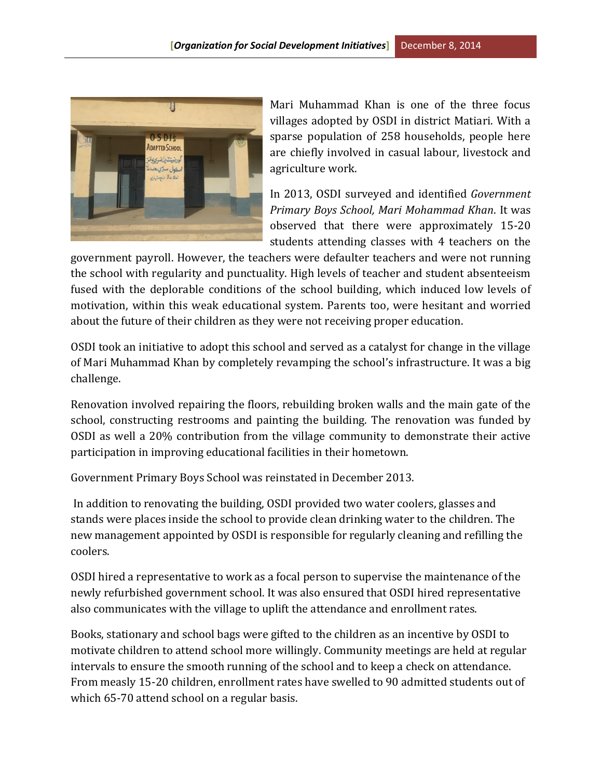

Mari Muhammad Khan is one of the three focus villages adopted by OSDI in district Matiari. With a sparse population of 258 households, people here are chiefly involved in casual labour, livestock and agriculture work.

In 2013, OSDI surveyed and identified *Government Primary Boys School, Mari Mohammad Khan*. It was observed that there were approximately 15-20 students attending classes with 4 teachers on the

government payroll. However, the teachers were defaulter teachers and were not running the school with regularity and punctuality. High levels of teacher and student absenteeism fused with the deplorable conditions of the school building, which induced low levels of motivation, within this weak educational system. Parents too, were hesitant and worried about the future of their children as they were not receiving proper education.

OSDI took an initiative to adopt this school and served as a catalyst for change in the village of Mari Muhammad Khan by completely revamping the school's infrastructure. It was a big challenge.

Renovation involved repairing the floors, rebuilding broken walls and the main gate of the school, constructing restrooms and painting the building. The renovation was funded by OSDI as well a 20% contribution from the village community to demonstrate their active participation in improving educational facilities in their hometown.

Government Primary Boys School was reinstated in December 2013.

In addition to renovating the building, OSDI provided two water coolers, glasses and stands were places inside the school to provide clean drinking water to the children. The new management appointed by OSDI is responsible for regularly cleaning and refilling the coolers.

OSDI hired a representative to work as a focal person to supervise the maintenance of the newly refurbished government school. It was also ensured that OSDI hired representative also communicates with the village to uplift the attendance and enrollment rates.

Books, stationary and school bags were gifted to the children as an incentive by OSDI to motivate children to attend school more willingly. Community meetings are held at regular intervals to ensure the smooth running of the school and to keep a check on attendance. From measly 15-20 children, enrollment rates have swelled to 90 admitted students out of which 65-70 attend school on a regular basis.